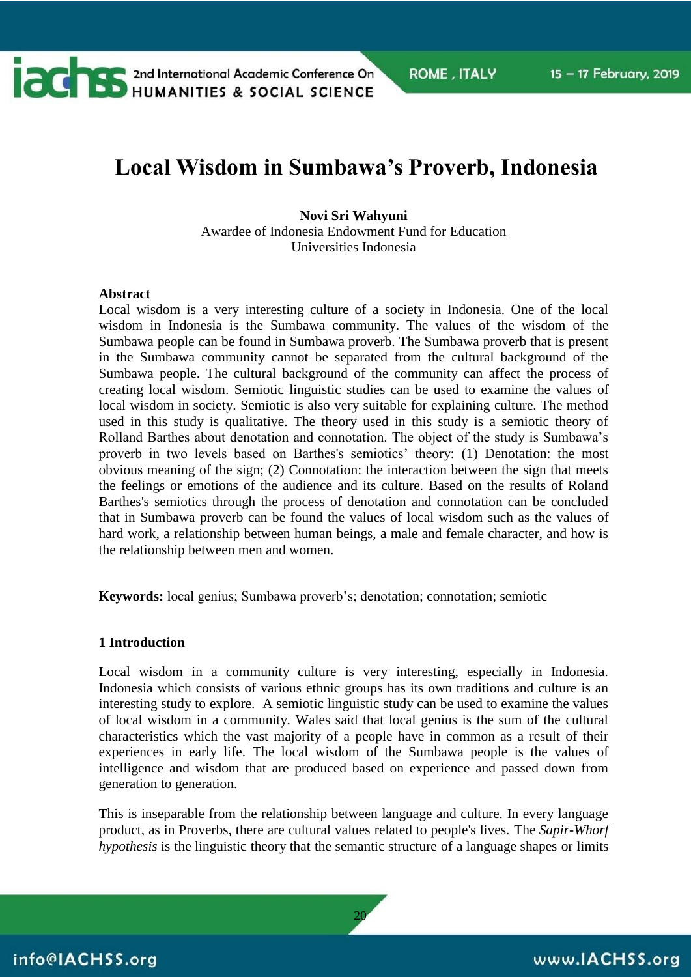

# **Local Wisdom in Sumbawa's Proverb, Indonesia**

#### **Novi Sri Wahyuni**

Awardee of Indonesia Endowment Fund for Education Universities Indonesia

#### **Abstract**

Local wisdom is a very interesting culture of a society in Indonesia. One of the local wisdom in Indonesia is the Sumbawa community. The values of the wisdom of the Sumbawa people can be found in Sumbawa proverb. The Sumbawa proverb that is present in the Sumbawa community cannot be separated from the cultural background of the Sumbawa people. The cultural background of the community can affect the process of creating local wisdom. Semiotic linguistic studies can be used to examine the values of local wisdom in society. Semiotic is also very suitable for explaining culture. The method used in this study is qualitative. The theory used in this study is a semiotic theory of Rolland Barthes about denotation and connotation. The object of the study is Sumbawa's proverb in two levels based on Barthes's semiotics' theory: (1) Denotation: the most obvious meaning of the sign; (2) Connotation: the interaction between the sign that meets the feelings or emotions of the audience and its culture. Based on the results of Roland Barthes's semiotics through the process of denotation and connotation can be concluded that in Sumbawa proverb can be found the values of local wisdom such as the values of hard work, a relationship between human beings, a male and female character, and how is the relationship between men and women.

**Keywords:** local genius; Sumbawa proverb's; denotation; connotation; semiotic

#### **1 Introduction**

Local wisdom in a community culture is very interesting, especially in Indonesia. Indonesia which consists of various ethnic groups has its own traditions and culture is an interesting study to explore. A semiotic linguistic study can be used to examine the values of local wisdom in a community. Wales said that local genius is the sum of the cultural characteristics which the vast majority of a people have in common as a result of their experiences in early life. The local wisdom of the Sumbawa people is the values of intelligence and wisdom that are produced based on experience and passed down from generation to generation.

This is inseparable from the relationship between language and culture. In every language product, as in Proverbs, there are cultural values related to people's lives. The *Sapir-Whorf hypothesis* is the [linguistic theory](https://www.thoughtco.com/what-are-linguistics-1691241) that the [semantic](https://www.thoughtco.com/semantics-linguistics-1692080) structure of a [language](https://www.thoughtco.com/what-is-a-language-1691218) shapes or limits

20

info@IACHSS.org

# www.IACHSS.org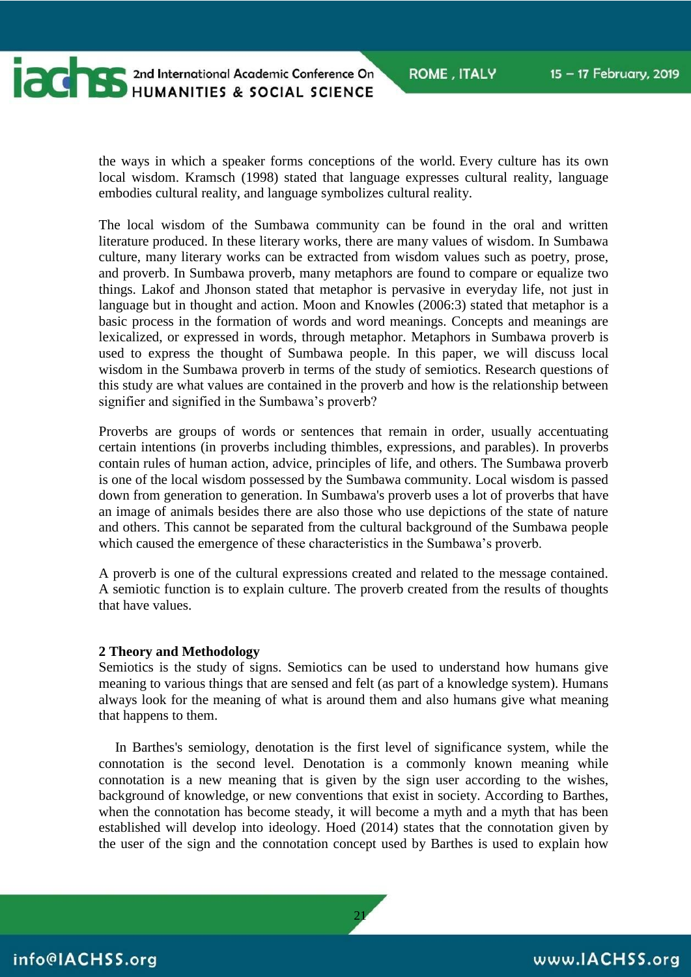

**CONTRES AND ARREST AND A PROPERTY AND A SOCIAL SCIENCE** 

the ways in which a speaker forms conceptions of the world. Every culture has its own local wisdom. Kramsch (1998) stated that language expresses cultural reality, language embodies cultural reality, and language symbolizes cultural reality.

The local wisdom of the Sumbawa community can be found in the oral and written literature produced. In these literary works, there are many values of wisdom. In Sumbawa culture, many literary works can be extracted from wisdom values such as poetry, prose, and proverb. In Sumbawa proverb, many metaphors are found to compare or equalize two things. Lakof and Jhonson stated that metaphor is pervasive in everyday life, not just in language but in thought and action. Moon and Knowles (2006:3) stated that metaphor is a basic process in the formation of words and word meanings. Concepts and meanings are lexicalized, or expressed in words, through metaphor. Metaphors in Sumbawa proverb is used to express the thought of Sumbawa people. In this paper, we will discuss local wisdom in the Sumbawa proverb in terms of the study of semiotics. Research questions of this study are what values are contained in the proverb and how is the relationship between signifier and signified in the Sumbawa's proverb?

Proverbs are groups of words or sentences that remain in order, usually accentuating certain intentions (in proverbs including thimbles, expressions, and parables). In proverbs contain rules of human action, advice, principles of life, and others. The Sumbawa proverb is one of the local wisdom possessed by the Sumbawa community. Local wisdom is passed down from generation to generation. In Sumbawa's proverb uses a lot of proverbs that have an image of animals besides there are also those who use depictions of the state of nature and others. This cannot be separated from the cultural background of the Sumbawa people which caused the emergence of these characteristics in the Sumbawa's proverb.

A proverb is one of the cultural expressions created and related to the message contained. A semiotic function is to explain culture. The proverb created from the results of thoughts that have values.

#### **2 Theory and Methodology**

Semiotics is the study of signs. Semiotics can be used to understand how humans give meaning to various things that are sensed and felt (as part of a knowledge system). Humans always look for the meaning of what is around them and also humans give what meaning that happens to them.

In Barthes's semiology, denotation is the first level of significance system, while the connotation is the second level. Denotation is a commonly known meaning while connotation is a new meaning that is given by the sign user according to the wishes, background of knowledge, or new conventions that exist in society. According to Barthes, when the connotation has become steady, it will become a myth and a myth that has been established will develop into ideology. Hoed (2014) states that the connotation given by the user of the sign and the connotation concept used by Barthes is used to explain how

21

info@IACHSS.org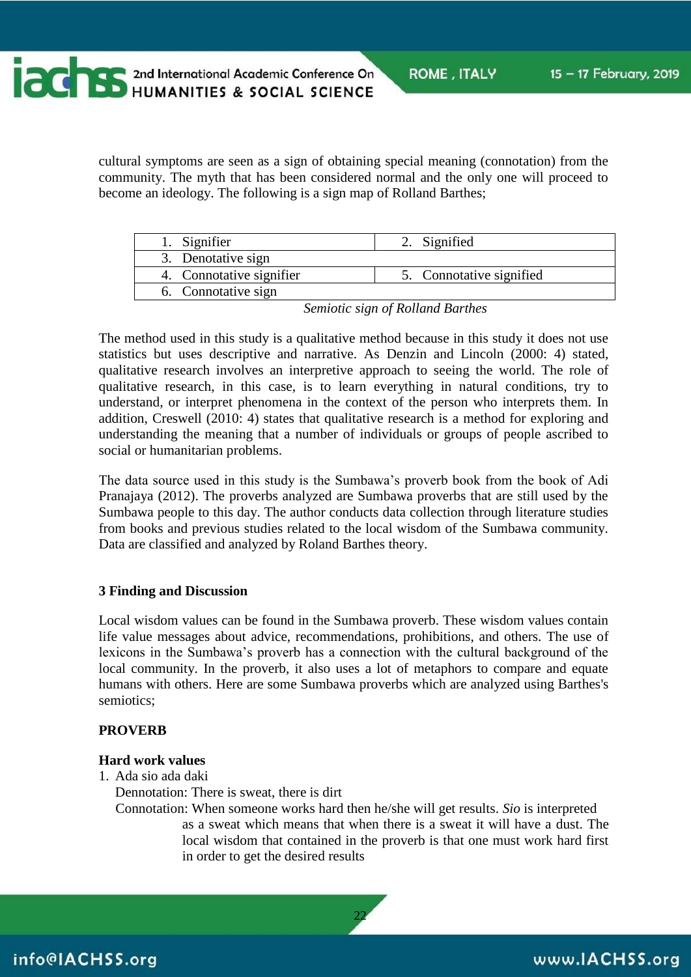**CONTRES AND ARREST AND ACCEPTED MAIN AND ACCEPTED MAIN AND ACCEPT AND ACCEPT ACCEPTED MANUFACTURER** 

**ROME, ITALY** 

cultural symptoms are seen as a sign of obtaining special meaning (connotation) from the community. The myth that has been considered normal and the only one will proceed to become an ideology. The following is a sign map of Rolland Barthes;

| 1. Signifier             | 2. Signified             |
|--------------------------|--------------------------|
| 3. Denotative sign       |                          |
| 4. Connotative signifier | 5. Connotative signified |
| 6. Connotative sign      |                          |

*Semiotic sign of Rolland Barthes*

The method used in this study is a qualitative method because in this study it does not use statistics but uses descriptive and narrative. As Denzin and Lincoln (2000: 4) stated, qualitative research involves an interpretive approach to seeing the world. The role of qualitative research, in this case, is to learn everything in natural conditions, try to understand, or interpret phenomena in the context of the person who interprets them. In addition, Creswell (2010: 4) states that qualitative research is a method for exploring and understanding the meaning that a number of individuals or groups of people ascribed to social or humanitarian problems.

The data source used in this study is the Sumbawa's proverb book from the book of Adi Pranajaya (2012). The proverbs analyzed are Sumbawa proverbs that are still used by the Sumbawa people to this day. The author conducts data collection through literature studies from books and previous studies related to the local wisdom of the Sumbawa community. Data are classified and analyzed by Roland Barthes theory.

# **3 Finding and Discussion**

Local wisdom values can be found in the Sumbawa proverb. These wisdom values contain life value messages about advice, recommendations, prohibitions, and others. The use of lexicons in the Sumbawa's proverb has a connection with the cultural background of the local community. In the proverb, it also uses a lot of metaphors to compare and equate humans with others. Here are some Sumbawa proverbs which are analyzed using Barthes's semiotics;

### **PROVERB**

# **Hard work values**

1. Ada sio ada daki

Dennotation: There is sweat, there is dirt

Connotation: When someone works hard then he/she will get results. *Sio* is interpreted as a sweat which means that when there is a sweat it will have a dust. The local wisdom that contained in the proverb is that one must work hard first in order to get the desired results

22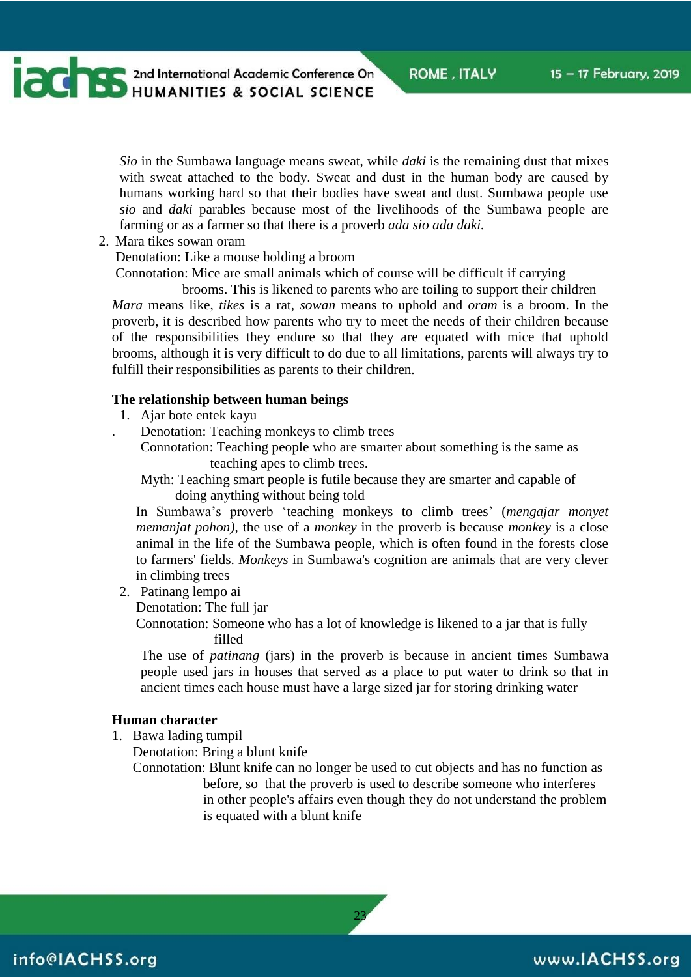**CONTRES AND ARREST AND AN INCREDIBLY AND ARREST AND ARREST AND ARREST AND ARREST AND ARREST AND ARREST AND ARREST AND ARREST AND ARREST AND ARREST AND ARREST AND ARREST AND ARREST AND ARREST AND ARREST AND ARREST AND ARRE** 

*Sio* in the Sumbawa language means sweat, while *daki* is the remaining dust that mixes with sweat attached to the body. Sweat and dust in the human body are caused by humans working hard so that their bodies have sweat and dust. Sumbawa people use *sio* and *daki* parables because most of the livelihoods of the Sumbawa people are farming or as a farmer so that there is a proverb *ada sio ada daki.*

2. Mara tikes sowan oram

Denotation: Like a mouse holding a broom

Connotation: Mice are small animals which of course will be difficult if carrying

brooms. This is likened to parents who are toiling to support their children *Mara* means like, *tikes* is a rat, *sowan* means to uphold and *oram* is a broom. In the proverb, it is described how parents who try to meet the needs of their children because of the responsibilities they endure so that they are equated with mice that uphold brooms, although it is very difficult to do due to all limitations, parents will always try to fulfill their responsibilities as parents to their children*.*

#### **The relationship between human beings**

- 1. Ajar bote entek kayu
	- . Denotation: Teaching monkeys to climb trees
	- Connotation: Teaching people who are smarter about something is the same as teaching apes to climb trees.
	- Myth: Teaching smart people is futile because they are smarter and capable of doing anything without being told

In Sumbawa's proverb 'teaching monkeys to climb trees' (*mengajar monyet memanjat pohon)*, the use of a *monkey* in the proverb is because *monkey* is a close animal in the life of the Sumbawa people, which is often found in the forests close to farmers' fields. *Monkeys* in Sumbawa's cognition are animals that are very clever in climbing trees

2. Patinang lempo ai

Denotation: The full jar

Connotation: Someone who has a lot of knowledge is likened to a jar that is fully filled

The use of *patinang* (jars) in the proverb is because in ancient times Sumbawa people used jars in houses that served as a place to put water to drink so that in ancient times each house must have a large sized jar for storing drinking water

#### **Human character**

1. Bawa lading tumpil

Denotation: Bring a blunt knife

Connotation: Blunt knife can no longer be used to cut objects and has no function as before, so that the proverb is used to describe someone who interferes in other people's affairs even though they do not understand the problem is equated with a blunt knife

23

# www.IACHSS.org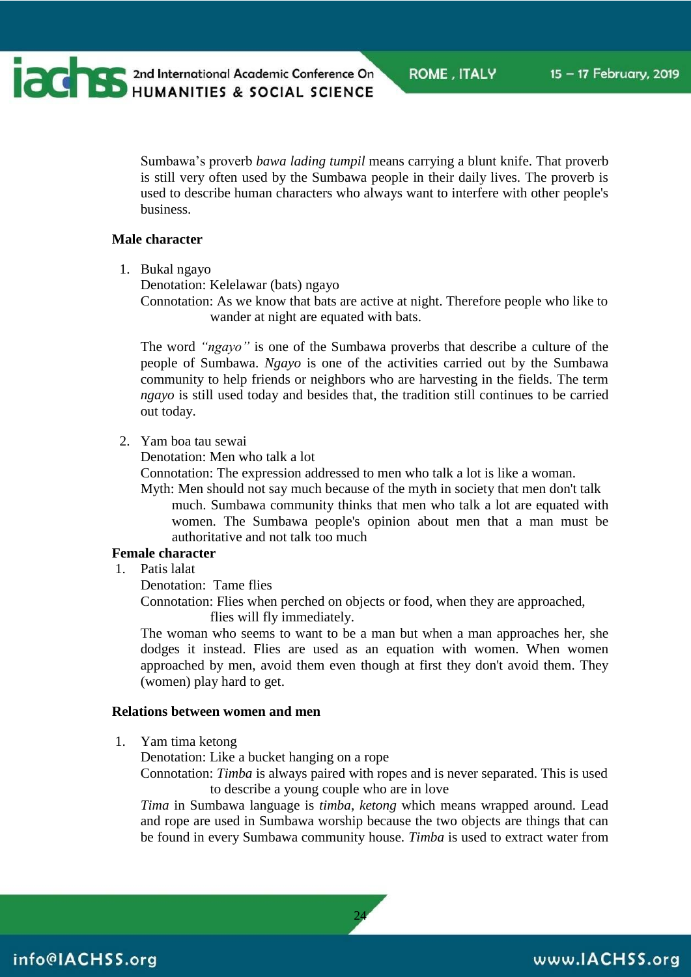**CONTRES AND ARREST AND ACADEMIC CONFERENCE** 

Sumbawa's proverb *bawa lading tumpil* means carrying a blunt knife. That proverb is still very often used by the Sumbawa people in their daily lives. The proverb is used to describe human characters who always want to interfere with other people's business.

#### **Male character**

1. Bukal ngayo

Denotation: Kelelawar (bats) ngayo

Connotation: As we know that bats are active at night. Therefore people who like to wander at night are equated with bats.

The word *"ngayo"* is one of the Sumbawa proverbs that describe a culture of the people of Sumbawa. *Ngayo* is one of the activities carried out by the Sumbawa community to help friends or neighbors who are harvesting in the fields. The term *ngayo* is still used today and besides that, the tradition still continues to be carried out today.

2. Yam boa tau sewai

Denotation: Men who talk a lot

Connotation: The expression addressed to men who talk a lot is like a woman.

Myth: Men should not say much because of the myth in society that men don't talk much. Sumbawa community thinks that men who talk a lot are equated with women. The Sumbawa people's opinion about men that a man must be authoritative and not talk too much

### **Female character**

1. Patis lalat

Denotation: Tame flies

Connotation: Flies when perched on objects or food, when they are approached, flies will fly immediately.

The woman who seems to want to be a man but when a man approaches her, she dodges it instead. Flies are used as an equation with women. When women approached by men, avoid them even though at first they don't avoid them. They (women) play hard to get.

#### **Relations between women and men**

1. Yam tima ketong

Denotation: Like a bucket hanging on a rope

Connotation: *Timba* is always paired with ropes and is never separated. This is used to describe a young couple who are in love

*Tima* in Sumbawa language is *timba*, *ketong* which means wrapped around. Lead and rope are used in Sumbawa worship because the two objects are things that can be found in every Sumbawa community house. *Timba* is used to extract water from

24